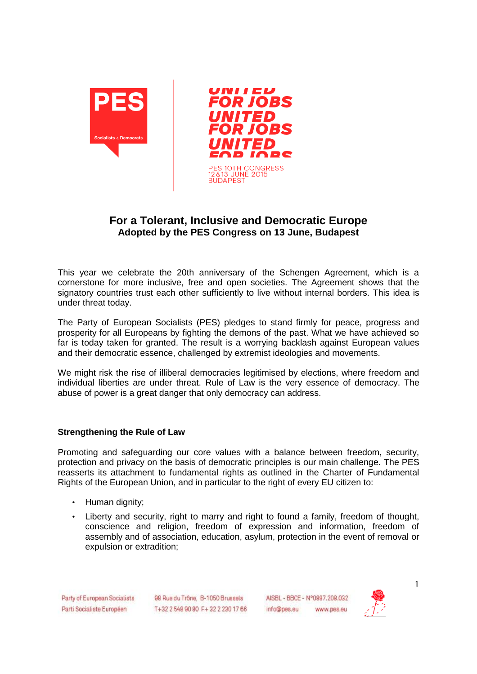

## **For a Tolerant, Inclusive and Democratic Europe Adopted by the PES Congress on 13 June, Budapest**

This year we celebrate the 20th anniversary of the Schengen Agreement, which is a cornerstone for more inclusive, free and open societies. The Agreement shows that the signatory countries trust each other sufficiently to live without internal borders. This idea is under threat today.

The Party of European Socialists (PES) pledges to stand firmly for peace, progress and prosperity for all Europeans by fighting the demons of the past. What we have achieved so far is today taken for granted. The result is a worrying backlash against European values and their democratic essence, challenged by extremist ideologies and movements.

We might risk the rise of illiberal democracies legitimised by elections, where freedom and individual liberties are under threat. Rule of Law is the very essence of democracy. The abuse of power is a great danger that only democracy can address.

## **Strengthening the Rule of Law**

Promoting and safeguarding our core values with a balance between freedom, security, protection and privacy on the basis of democratic principles is our main challenge. The PES reasserts its attachment to fundamental rights as outlined in the Charter of Fundamental Rights of the European Union, and in particular to the right of every EU citizen to:

- Human dignity;
- Liberty and security, right to marry and right to found a family, freedom of thought, conscience and religion, freedom of expression and information, freedom of assembly and of association, education, asylum, protection in the event of removal or expulsion or extradition;

Party of European Socialists Parti Socialiste Européen

98 Rue du Trône, B-1050 Brussels T+32 2 548 90 80 F+32 2 230 17 66 AISBL - BBCE - N°0897.208.032 info@pes.eu www.pes.eu



1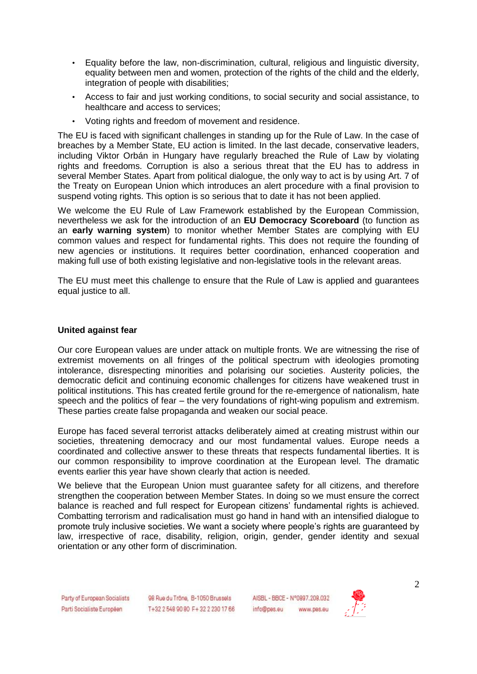- Equality before the law, non-discrimination, cultural, religious and linguistic diversity, equality between men and women, protection of the rights of the child and the elderly, integration of people with disabilities;
- Access to fair and just working conditions, to social security and social assistance, to healthcare and access to services;
- Voting rights and freedom of movement and residence.

The EU is faced with significant challenges in standing up for the Rule of Law. In the case of breaches by a Member State, EU action is limited. In the last decade, conservative leaders, including Viktor Orbán in Hungary have regularly breached the Rule of Law by violating rights and freedoms. Corruption is also a serious threat that the EU has to address in several Member States. Apart from political dialogue, the only way to act is by using Art. 7 of the Treaty on European Union which introduces an alert procedure with a final provision to suspend voting rights. This option is so serious that to date it has not been applied.

We welcome the EU Rule of Law Framework established by the European Commission, nevertheless we ask for the introduction of an **EU Democracy Scoreboard** (to function as an **early warning system**) to monitor whether Member States are complying with EU common values and respect for fundamental rights. This does not require the founding of new agencies or institutions. It requires better coordination, enhanced cooperation and making full use of both existing legislative and non-legislative tools in the relevant areas.

The EU must meet this challenge to ensure that the Rule of Law is applied and guarantees equal justice to all.

## **United against fear**

Our core European values are under attack on multiple fronts. We are witnessing the rise of extremist movements on all fringes of the political spectrum with ideologies promoting intolerance, disrespecting minorities and polarising our societies. Austerity policies, the democratic deficit and continuing economic challenges for citizens have weakened trust in political institutions. This has created fertile ground for the re-emergence of nationalism, hate speech and the politics of fear – the very foundations of right-wing populism and extremism. These parties create false propaganda and weaken our social peace.

Europe has faced several terrorist attacks deliberately aimed at creating mistrust within our societies, threatening democracy and our most fundamental values. Europe needs a coordinated and collective answer to these threats that respects fundamental liberties. It is our common responsibility to improve coordination at the European level. The dramatic events earlier this year have shown clearly that action is needed.

We believe that the European Union must guarantee safety for all citizens, and therefore strengthen the cooperation between Member States. In doing so we must ensure the correct balance is reached and full respect for European citizens' fundamental rights is achieved. Combatting terrorism and radicalisation must go hand in hand with an intensified dialogue to promote truly inclusive societies. We want a society where people's rights are guaranteed by law, irrespective of race, disability, religion, origin, gender, gender identity and sexual orientation or any other form of discrimination.

Party of European Socialists Parti Socialiste Européen

98 Rue du Trône, B-1050 Brussels T+32 2 548 90 80 F+32 2 230 17 66 AISBL - BBCE - N°0897.208.032 info@pes.eu www.pes.eu

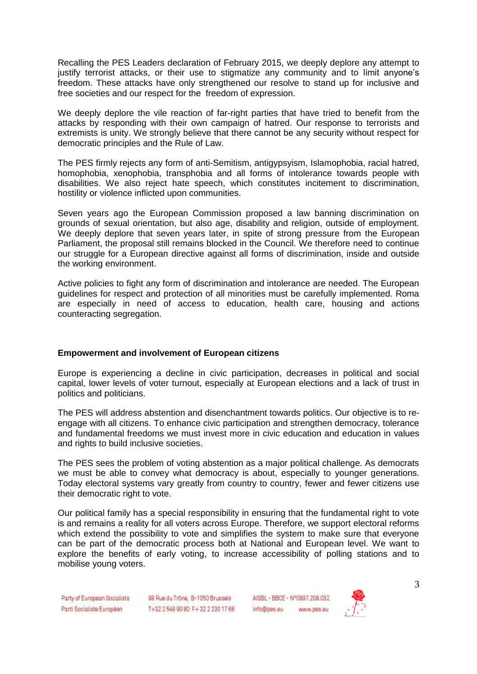Recalling the PES Leaders declaration of February 2015, we deeply deplore any attempt to justify terrorist attacks, or their use to stigmatize any community and to limit anyone's freedom. These attacks have only strengthened our resolve to stand up for inclusive and free societies and our respect for the freedom of expression.

We deeply deplore the vile reaction of far-right parties that have tried to benefit from the attacks by responding with their own campaign of hatred. Our response to terrorists and extremists is unity. We strongly believe that there cannot be any security without respect for democratic principles and the Rule of Law.

The PES firmly rejects any form of anti-Semitism, antigypsyism, Islamophobia, racial hatred, homophobia, xenophobia, transphobia and all forms of intolerance towards people with disabilities. We also reject hate speech, which constitutes incitement to discrimination, hostility or violence inflicted upon communities.

Seven years ago the European Commission proposed a law banning discrimination on grounds of sexual orientation, but also age, disability and religion, outside of employment. We deeply deplore that seven years later, in spite of strong pressure from the European Parliament, the proposal still remains blocked in the Council. We therefore need to continue our struggle for a European directive against all forms of discrimination, inside and outside the working environment.

Active policies to fight any form of discrimination and intolerance are needed. The European guidelines for respect and protection of all minorities must be carefully implemented. Roma are especially in need of access to education, health care, housing and actions counteracting segregation.

## **Empowerment and involvement of European citizens**

Europe is experiencing a decline in civic participation, decreases in political and social capital, lower levels of voter turnout, especially at European elections and a lack of trust in politics and politicians.

The PES will address abstention and disenchantment towards politics. Our objective is to reengage with all citizens. To enhance civic participation and strengthen democracy, tolerance and fundamental freedoms we must invest more in civic education and education in values and rights to build inclusive societies.

The PES sees the problem of voting abstention as a major political challenge. As democrats we must be able to convey what democracy is about, especially to younger generations. Today electoral systems vary greatly from country to country, fewer and fewer citizens use their democratic right to vote.

Our political family has a special responsibility in ensuring that the fundamental right to vote is and remains a reality for all voters across Europe. Therefore, we support electoral reforms which extend the possibility to vote and simplifies the system to make sure that everyone can be part of the democratic process both at National and European level. We want to explore the benefits of early voting, to increase accessibility of polling stations and to mobilise young voters.

Party of European Socialists Parti Socialiste Européen

98 Rue du Trône, B-1050 Brussels T+32 2 548 90 80 F+32 2 230 17 66

AISBL - BBCE - N°0897.208.032 info@pes.eu www.pes.eu